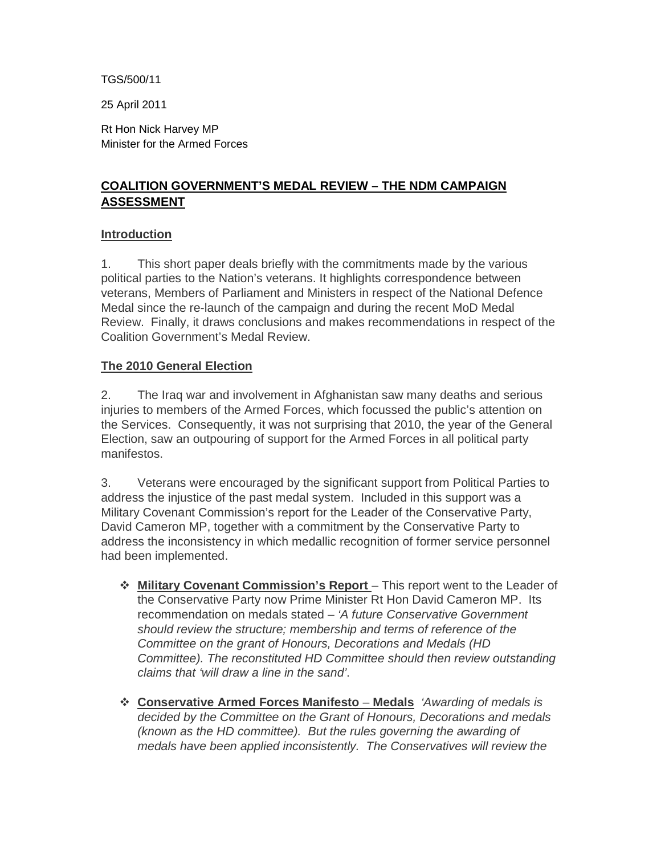TGS/500/11

25 April 2011

Rt Hon Nick Harvey MP Minister for the Armed Forces

# **COALITION GOVERNMENT'S MEDAL REVIEW – THE NDM CAMPAIGN ASSESSMENT**

#### **Introduction**

1. This short paper deals briefly with the commitments made by the various political parties to the Nation's veterans. It highlights correspondence between veterans, Members of Parliament and Ministers in respect of the National Defence Medal since the re-launch of the campaign and during the recent MoD Medal Review. Finally, it draws conclusions and makes recommendations in respect of the Coalition Government's Medal Review.

#### **The 2010 General Election**

2. The Iraq war and involvement in Afghanistan saw many deaths and serious injuries to members of the Armed Forces, which focussed the public's attention on the Services. Consequently, it was not surprising that 2010, the year of the General Election, saw an outpouring of support for the Armed Forces in all political party manifestos.

3. Veterans were encouraged by the significant support from Political Parties to address the injustice of the past medal system. Included in this support was a Military Covenant Commission's report for the Leader of the Conservative Party, David Cameron MP, together with a commitment by the Conservative Party to address the inconsistency in which medallic recognition of former service personnel had been implemented.

- **Military Covenant Commission's Report**  This report went to the Leader of the Conservative Party now Prime Minister Rt Hon David Cameron MP. Its recommendation on medals stated – 'A future Conservative Government should review the structure; membership and terms of reference of the Committee on the grant of Honours, Decorations and Medals (HD Committee). The reconstituted HD Committee should then review outstanding claims that 'will draw a line in the sand'.
- **Conservative Armed Forces Manifesto Medals** 'Awarding of medals is decided by the Committee on the Grant of Honours, Decorations and medals (known as the HD committee). But the rules governing the awarding of medals have been applied inconsistently. The Conservatives will review the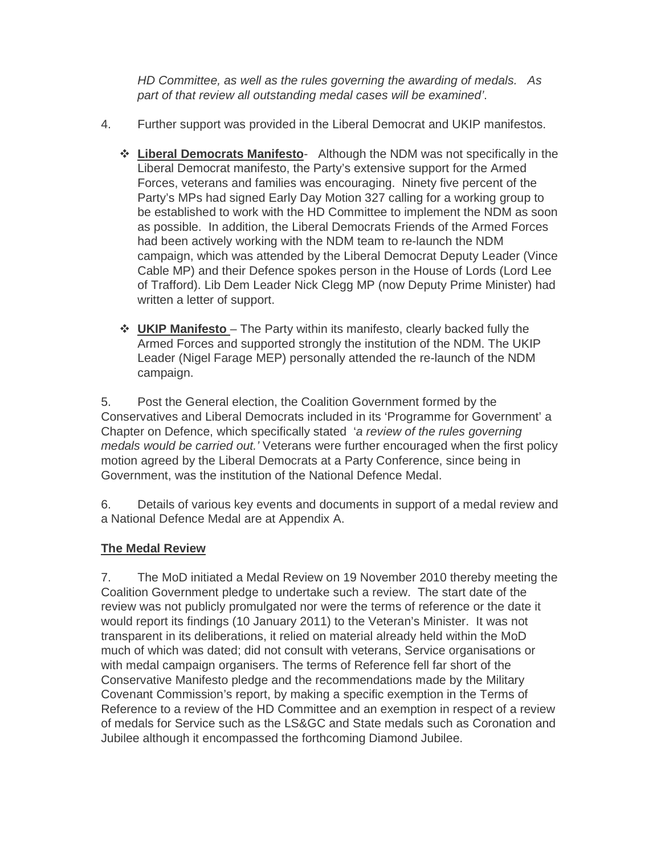HD Committee, as well as the rules governing the awarding of medals. As part of that review all outstanding medal cases will be examined'.

- 4. Further support was provided in the Liberal Democrat and UKIP manifestos.
	- **Liberal Democrats Manifesto** Although the NDM was not specifically in the Liberal Democrat manifesto, the Party's extensive support for the Armed Forces, veterans and families was encouraging. Ninety five percent of the Party's MPs had signed Early Day Motion 327 calling for a working group to be established to work with the HD Committee to implement the NDM as soon as possible. In addition, the Liberal Democrats Friends of the Armed Forces had been actively working with the NDM team to re-launch the NDM campaign, which was attended by the Liberal Democrat Deputy Leader (Vince Cable MP) and their Defence spokes person in the House of Lords (Lord Lee of Trafford). Lib Dem Leader Nick Clegg MP (now Deputy Prime Minister) had written a letter of support.
	- **UKIP Manifesto**  The Party within its manifesto, clearly backed fully the Armed Forces and supported strongly the institution of the NDM. The UKIP Leader (Nigel Farage MEP) personally attended the re-launch of the NDM campaign.

5. Post the General election, the Coalition Government formed by the Conservatives and Liberal Democrats included in its 'Programme for Government' a Chapter on Defence, which specifically stated 'a review of the rules governing medals would be carried out.' Veterans were further encouraged when the first policy motion agreed by the Liberal Democrats at a Party Conference, since being in Government, was the institution of the National Defence Medal.

6. Details of various key events and documents in support of a medal review and a National Defence Medal are at Appendix A.

# **The Medal Review**

7. The MoD initiated a Medal Review on 19 November 2010 thereby meeting the Coalition Government pledge to undertake such a review. The start date of the review was not publicly promulgated nor were the terms of reference or the date it would report its findings (10 January 2011) to the Veteran's Minister. It was not transparent in its deliberations, it relied on material already held within the MoD much of which was dated; did not consult with veterans, Service organisations or with medal campaign organisers. The terms of Reference fell far short of the Conservative Manifesto pledge and the recommendations made by the Military Covenant Commission's report, by making a specific exemption in the Terms of Reference to a review of the HD Committee and an exemption in respect of a review of medals for Service such as the LS&GC and State medals such as Coronation and Jubilee although it encompassed the forthcoming Diamond Jubilee.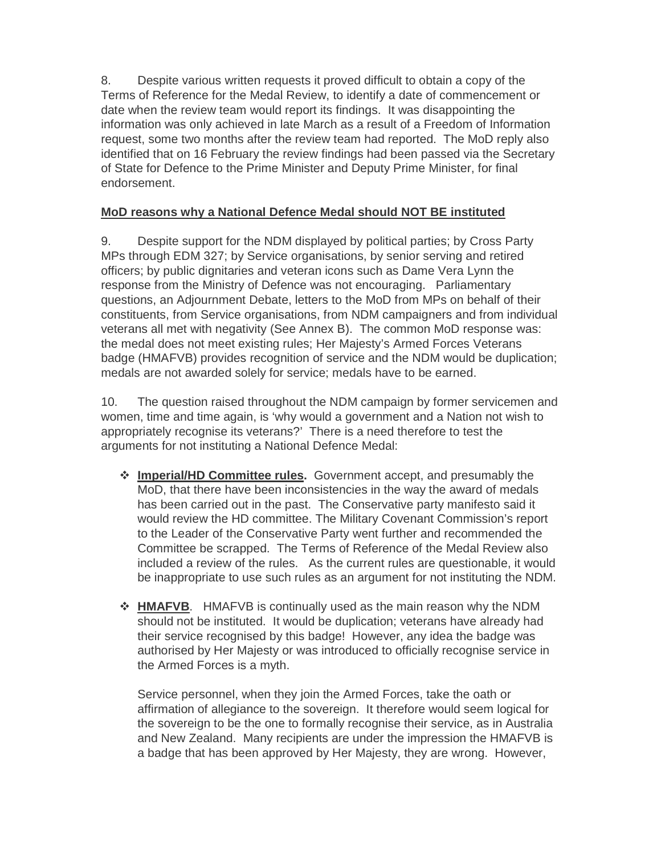8. Despite various written requests it proved difficult to obtain a copy of the Terms of Reference for the Medal Review, to identify a date of commencement or date when the review team would report its findings. It was disappointing the information was only achieved in late March as a result of a Freedom of Information request, some two months after the review team had reported. The MoD reply also identified that on 16 February the review findings had been passed via the Secretary of State for Defence to the Prime Minister and Deputy Prime Minister, for final endorsement.

### **MoD reasons why a National Defence Medal should NOT BE instituted**

9. Despite support for the NDM displayed by political parties; by Cross Party MPs through EDM 327; by Service organisations, by senior serving and retired officers; by public dignitaries and veteran icons such as Dame Vera Lynn the response from the Ministry of Defence was not encouraging. Parliamentary questions, an Adjournment Debate, letters to the MoD from MPs on behalf of their constituents, from Service organisations, from NDM campaigners and from individual veterans all met with negativity (See Annex B). The common MoD response was: the medal does not meet existing rules; Her Majesty's Armed Forces Veterans badge (HMAFVB) provides recognition of service and the NDM would be duplication; medals are not awarded solely for service; medals have to be earned.

10. The question raised throughout the NDM campaign by former servicemen and women, time and time again, is 'why would a government and a Nation not wish to appropriately recognise its veterans?' There is a need therefore to test the arguments for not instituting a National Defence Medal:

- **Imperial/HD Committee rules.** Government accept, and presumably the MoD, that there have been inconsistencies in the way the award of medals has been carried out in the past. The Conservative party manifesto said it would review the HD committee. The Military Covenant Commission's report to the Leader of the Conservative Party went further and recommended the Committee be scrapped. The Terms of Reference of the Medal Review also included a review of the rules. As the current rules are questionable, it would be inappropriate to use such rules as an argument for not instituting the NDM.
- **HMAFVB**. HMAFVB is continually used as the main reason why the NDM should not be instituted. It would be duplication; veterans have already had their service recognised by this badge! However, any idea the badge was authorised by Her Majesty or was introduced to officially recognise service in the Armed Forces is a myth.

Service personnel, when they join the Armed Forces, take the oath or affirmation of allegiance to the sovereign. It therefore would seem logical for the sovereign to be the one to formally recognise their service, as in Australia and New Zealand. Many recipients are under the impression the HMAFVB is a badge that has been approved by Her Majesty, they are wrong. However,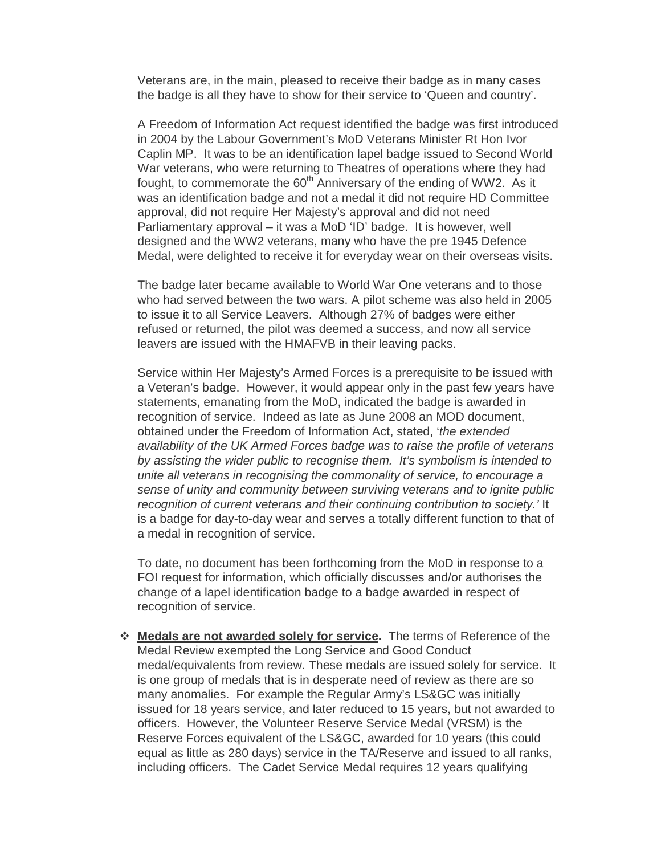Veterans are, in the main, pleased to receive their badge as in many cases the badge is all they have to show for their service to 'Queen and country'.

A Freedom of Information Act request identified the badge was first introduced in 2004 by the Labour Government's MoD Veterans Minister Rt Hon Ivor Caplin MP. It was to be an identification lapel badge issued to Second World War veterans, who were returning to Theatres of operations where they had fought, to commemorate the 60<sup>th</sup> Anniversary of the ending of WW2. As it was an identification badge and not a medal it did not require HD Committee approval, did not require Her Majesty's approval and did not need Parliamentary approval – it was a MoD 'ID' badge. It is however, well designed and the WW2 veterans, many who have the pre 1945 Defence Medal, were delighted to receive it for everyday wear on their overseas visits.

The badge later became available to World War One veterans and to those who had served between the two wars. A pilot scheme was also held in 2005 to issue it to all Service Leavers. Although 27% of badges were either refused or returned, the pilot was deemed a success, and now all service leavers are issued with the HMAFVB in their leaving packs.

Service within Her Majesty's Armed Forces is a prerequisite to be issued with a Veteran's badge. However, it would appear only in the past few years have statements, emanating from the MoD, indicated the badge is awarded in recognition of service. Indeed as late as June 2008 an MOD document, obtained under the Freedom of Information Act, stated, 'the extended availability of the UK Armed Forces badge was to raise the profile of veterans by assisting the wider public to recognise them. It's symbolism is intended to unite all veterans in recognising the commonality of service, to encourage a sense of unity and community between surviving veterans and to ignite public recognition of current veterans and their continuing contribution to society.' It is a badge for day-to-day wear and serves a totally different function to that of a medal in recognition of service.

To date, no document has been forthcoming from the MoD in response to a FOI request for information, which officially discusses and/or authorises the change of a lapel identification badge to a badge awarded in respect of recognition of service.

 **Medals are not awarded solely for service.** The terms of Reference of the Medal Review exempted the Long Service and Good Conduct medal/equivalents from review. These medals are issued solely for service. It is one group of medals that is in desperate need of review as there are so many anomalies. For example the Regular Army's LS&GC was initially issued for 18 years service, and later reduced to 15 years, but not awarded to officers. However, the Volunteer Reserve Service Medal (VRSM) is the Reserve Forces equivalent of the LS&GC, awarded for 10 years (this could equal as little as 280 days) service in the TA/Reserve and issued to all ranks, including officers. The Cadet Service Medal requires 12 years qualifying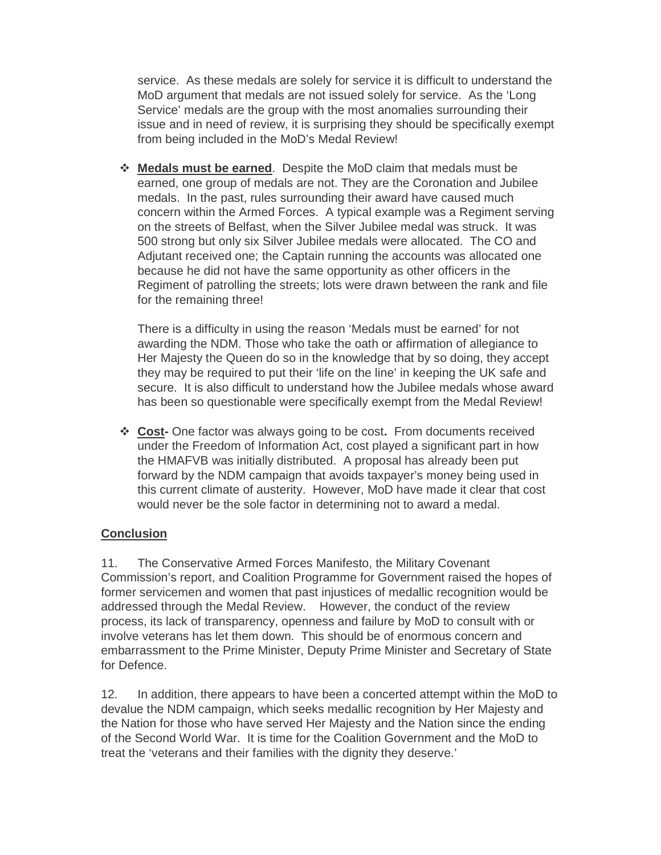service. As these medals are solely for service it is difficult to understand the MoD argument that medals are not issued solely for service. As the 'Long Service' medals are the group with the most anomalies surrounding their issue and in need of review, it is surprising they should be specifically exempt from being included in the MoD's Medal Review!

 **Medals must be earned**. Despite the MoD claim that medals must be earned, one group of medals are not. They are the Coronation and Jubilee medals. In the past, rules surrounding their award have caused much concern within the Armed Forces. A typical example was a Regiment serving on the streets of Belfast, when the Silver Jubilee medal was struck. It was 500 strong but only six Silver Jubilee medals were allocated. The CO and Adjutant received one; the Captain running the accounts was allocated one because he did not have the same opportunity as other officers in the Regiment of patrolling the streets; lots were drawn between the rank and file for the remaining three!

There is a difficulty in using the reason 'Medals must be earned' for not awarding the NDM. Those who take the oath or affirmation of allegiance to Her Majesty the Queen do so in the knowledge that by so doing, they accept they may be required to put their 'life on the line' in keeping the UK safe and secure. It is also difficult to understand how the Jubilee medals whose award has been so questionable were specifically exempt from the Medal Review!

 **Cost-** One factor was always going to be cost**.** From documents received under the Freedom of Information Act, cost played a significant part in how the HMAFVB was initially distributed. A proposal has already been put forward by the NDM campaign that avoids taxpayer's money being used in this current climate of austerity. However, MoD have made it clear that cost would never be the sole factor in determining not to award a medal.

### **Conclusion**

11. The Conservative Armed Forces Manifesto, the Military Covenant Commission's report, and Coalition Programme for Government raised the hopes of former servicemen and women that past injustices of medallic recognition would be addressed through the Medal Review. However, the conduct of the review process, its lack of transparency, openness and failure by MoD to consult with or involve veterans has let them down. This should be of enormous concern and embarrassment to the Prime Minister, Deputy Prime Minister and Secretary of State for Defence.

12. In addition, there appears to have been a concerted attempt within the MoD to devalue the NDM campaign, which seeks medallic recognition by Her Majesty and the Nation for those who have served Her Majesty and the Nation since the ending of the Second World War. It is time for the Coalition Government and the MoD to treat the 'veterans and their families with the dignity they deserve.'